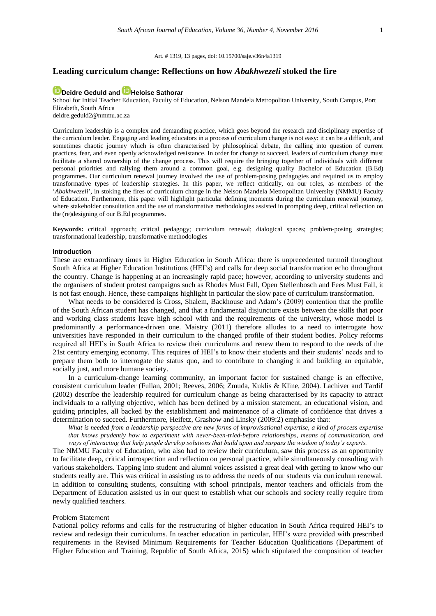### Art. # 1319, 13 pages, [doi: 10.15700/saje.v36n4a1319](https://doi.org/10.15700/saje.v36n4a1319)

# **Leading curriculum change: Reflections on how** *Abakhwezeli* **stoked the fire**

# **[Deidre Geduld](http://orcid.org/0000-0001-6175-0508) an[d Heloise Sathorar](http://orcid.org/0000-0002-4947-0885)**

School for Initial Teacher Education, Faculty of Education, Nelson Mandela Metropolitan University, South Campus, Port Elizabeth, South Africa [deidre.geduld2@nmmu.ac.za](mailto:deidre.geduld2@nmmu.ac.za)

Curriculum leadership is a complex and demanding practice, which goes beyond the research and disciplinary expertise of the curriculum leader. Engaging and leading educators in a process of curriculum change is not easy: it can be a difficult, and sometimes chaotic journey which is often characterised by philosophical debate, the calling into question of current practices, fear, and even openly acknowledged resistance. In order for change to succeed, leaders of curriculum change must facilitate a shared ownership of the change process. This will require the bringing together of individuals with different personal priorities and rallying them around a common goal, e.g. designing quality Bachelor of Education (B.Ed) programmes. Our curriculum renewal journey involved the use of problem-posing pedagogies and required us to employ transformative types of leadership strategies. In this paper, we reflect critically, on our roles, as members of the '*Abakhwezeli*', in stoking the fires of curriculum change in the Nelson Mandela Metropolitan University (NMMU) Faculty of Education. Furthermore, this paper will highlight particular defining moments during the curriculum renewal journey, where stakeholder consultation and the use of transformative methodologies assisted in prompting deep, critical reflection on the (re)designing of our B.Ed programmes.

**Keywords:** critical approach; critical pedagogy; curriculum renewal; dialogical spaces; problem-posing strategies; transformational leadership; transformative methodologies

#### **Introduction**

These are extraordinary times in Higher Education in South Africa: there is unprecedented turmoil throughout South Africa at Higher Education Institutions (HEI's) and calls for deep social transformation echo throughout the country. Change is happening at an increasingly rapid pace; however, according to university students and the organisers of student protest campaigns such as Rhodes Must Fall, Open Stellenbosch and Fees Must Fall, it is not fast enough. Hence, these campaigns highlight in particular the slow pace of curriculum transformation.

What needs to be considered is Cross, Shalem, Backhouse and Adam's (2009) contention that the profile of the South African student has changed, and that a fundamental disjuncture exists between the skills that poor and working class students leave high school with and the requirements of the university, whose model is predominantly a performance-driven one. Maistry (2011) therefore alludes to a need to interrogate how universities have responded in their curriculum to the changed profile of their student bodies. Policy reforms required all HEI's in South Africa to review their curriculums and renew them to respond to the needs of the 21st century emerging economy. This requires of HEI's to know their students and their students' needs and to prepare them both to interrogate the status quo, and to contribute to changing it and building an equitable, socially just, and more humane society.

In a curriculum-change learning community, an important factor for sustained change is an effective, consistent curriculum leader (Fullan, 2001; Reeves, 2006; Zmuda, Kuklis & Kline, 2004). Lachiver and Tardif (2002) describe the leadership required for curriculum change as being characterised by its capacity to attract individuals to a rallying objective, which has been defined by a mission statement, an educational vision, and guiding principles, all backed by the establishment and maintenance of a climate of confidence that drives a determination to succeed. Furthermore, Heifetz, Grashow and Linsky (2009:2) emphasise that:

*What is needed from a leadership perspective are new forms of improvisational expertise, a kind of process expertise that knows prudently how to experiment with never-been-tried-before relationships, means of communication, and ways of interacting that help people develop solutions that build upon and surpass the wisdom of today's experts.*

The NMMU Faculty of Education, who also had to review their curriculum, saw this process as an opportunity to facilitate deep, critical introspection and reflection on personal practice, while simultaneously consulting with various stakeholders. Tapping into student and alumni voices assisted a great deal with getting to know who our students really are. This was critical in assisting us to address the needs of our students via curriculum renewal. In addition to consulting students, consulting with school principals, mentor teachers and officials from the Department of Education assisted us in our quest to establish what our schools and society really require from newly qualified teachers.

## Problem Statement

National policy reforms and calls for the restructuring of higher education in South Africa required HEI's to review and redesign their curriculums. In teacher education in particular, HEI's were provided with prescribed requirements in the Revised Minimum Requirements for Teacher Education Qualifications (Department of Higher Education and Training, Republic of South Africa, 2015) which stipulated the composition of teacher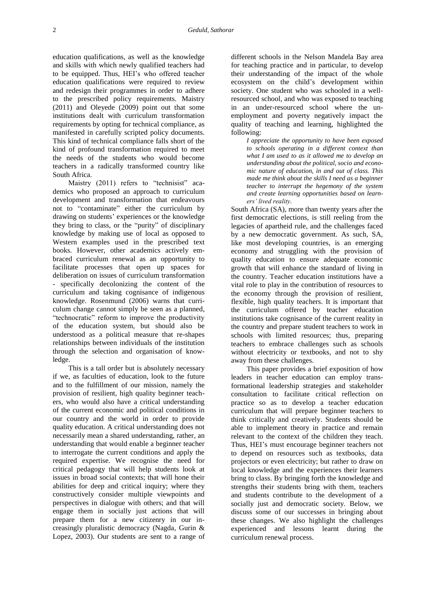education qualifications, as well as the knowledge and skills with which newly qualified teachers had to be equipped. Thus, HEI's who offered teacher education qualifications were required to review and redesign their programmes in order to adhere to the prescribed policy requirements. Maistry (2011) and Oleyede (2009) point out that some institutions dealt with curriculum transformation requirements by opting for technical compliance, as manifested in carefully scripted policy documents. This kind of technical compliance falls short of the kind of profound transformation required to meet the needs of the students who would become teachers in a radically transformed country like South Africa.

Maistry (2011) refers to "technisist" academics who proposed an approach to curriculum development and transformation that endeavours not to "contaminate" either the curriculum by drawing on students' experiences or the knowledge they bring to class, or the "purity" of disciplinary knowledge by making use of local as opposed to Western examples used in the prescribed text books. However, other academics actively embraced curriculum renewal as an opportunity to facilitate processes that open up spaces for deliberation on issues of curriculum transformation - specifically decolonizing the content of the curriculum and taking cognisance of indigenous knowledge. Rosenmund (2006) warns that curriculum change cannot simply be seen as a planned, "technocratic" reform to improve the productivity of the education system, but should also be understood as a political measure that re-shapes relationships between individuals of the institution through the selection and organisation of knowledge.

This is a tall order but is absolutely necessary if we, as faculties of education, look to the future and to the fulfillment of our mission, namely the provision of resilient, high quality beginner teachers, who would also have a critical understanding of the current economic and political conditions in our country and the world in order to provide quality education. A critical understanding does not necessarily mean a shared understanding, rather, an understanding that would enable a beginner teacher to interrogate the current conditions and apply the required expertise. We recognise the need for critical pedagogy that will help students look at issues in broad social contexts; that will hone their abilities for deep and critical inquiry; where they constructively consider multiple viewpoints and perspectives in dialogue with others; and that will engage them in socially just actions that will prepare them for a new citizenry in our increasingly pluralistic democracy (Nagda, Gurin & Lopez, 2003). Our students are sent to a range of different schools in the Nelson Mandela Bay area for teaching practice and in particular, to develop their understanding of the impact of the whole ecosystem on the child's development within society. One student who was schooled in a wellresourced school, and who was exposed to teaching in an under-resourced school where the unemployment and poverty negatively impact the quality of teaching and learning, highlighted the following:

*I appreciate the opportunity to have been exposed to schools operating in a different context than what I am used to as it allowed me to develop an understanding about the political, socio and economic nature of education, in and out of class. This made me think about the skills I need as a beginner teacher to interrupt the hegemony of the system and create learning opportunities based on learners' lived reality.*

South Africa (SA), more than twenty years after the first democratic elections, is still reeling from the legacies of apartheid rule, and the challenges faced by a new democratic government. As such, SA, like most developing countries, is an emerging economy and struggling with the provision of quality education to ensure adequate economic growth that will enhance the standard of living in the country. Teacher education institutions have a vital role to play in the contribution of resources to the economy through the provision of resilient, flexible, high quality teachers. It is important that the curriculum offered by teacher education institutions take cognisance of the current reality in the country and prepare student teachers to work in schools with limited resources; thus, preparing teachers to embrace challenges such as schools without electricity or textbooks, and not to shy away from these challenges.

This paper provides a brief exposition of how leaders in teacher education can employ transformational leadership strategies and stakeholder consultation to facilitate critical reflection on practice so as to develop a teacher education curriculum that will prepare beginner teachers to think critically and creatively. Students should be able to implement theory in practice and remain relevant to the context of the children they teach. Thus, HEI's must encourage beginner teachers not to depend on resources such as textbooks, data projectors or even electricity; but rather to draw on local knowledge and the experiences their learners bring to class. By bringing forth the knowledge and strengths their students bring with them, teachers and students contribute to the development of a socially just and democratic society. Below, we discuss some of our successes in bringing about these changes. We also highlight the challenges experienced and lessons learnt during the curriculum renewal process.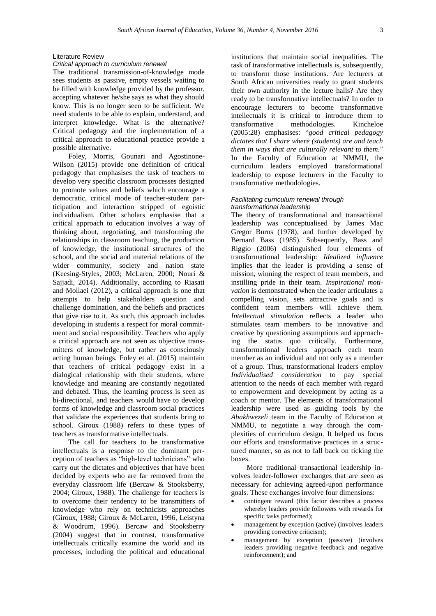# Literature Review

# *Critical approach to curriculum renewal*

The traditional transmission-of-knowledge mode sees students as passive, empty vessels waiting to be filled with knowledge provided by the professor, accepting whatever he/she says as what they should know. This is no longer seen to be sufficient. We need students to be able to explain, understand, and interpret knowledge. What is the alternative? Critical pedagogy and the implementation of a critical approach to educational practice provide a possible alternative.

Foley, Morris, Gounari and Agostinone-Wilson (2015) provide one definition of critical pedagogy that emphasises the task of teachers to develop very specific classroom processes designed to promote values and beliefs which encourage a democratic, critical mode of teacher-student participation and interaction stripped of egoistic individualism. Other scholars emphasise that a critical approach to education involves a way of thinking about, negotiating, and transforming the relationships in classroom teaching, the production of knowledge, the institutional structures of the school, and the social and material relations of the wider community, society and nation state (Keesing-Styles, 2003; McLaren, 2000; Nouri & Sajjadi, 2014). Additionally, according to Riasati and Mollaei (2012), a critical approach is one that attempts to help stakeholders question and challenge domination, and the beliefs and practices that give rise to it. As such, this approach includes developing in students a respect for moral commitment and social responsibility. Teachers who apply a critical approach are not seen as objective transmitters of knowledge, but rather as consciously acting human beings. Foley et al. (2015) maintain that teachers of critical pedagogy exist in a dialogical relationship with their students, where knowledge and meaning are constantly negotiated and debated. Thus, the learning process is seen as bi-directional, and teachers would have to develop forms of knowledge and classroom social practices that validate the experiences that students bring to school. Giroux (1988) refers to these types of teachers as transformative intellectuals.

The call for teachers to be transformative intellectuals is a response to the dominant perception of teachers as "high-level technicians" who carry out the dictates and objectives that have been decided by experts who are far removed from the everyday classroom life (Bercaw & Stooksberry, 2004; Giroux, 1988). The challenge for teachers is to overcome their tendency to be transmitters of knowledge who rely on technicists approaches (Giroux, 1988; Giroux & McLaren, 1996, Leistyna & Woodrum, 1996). Bercaw and Stooksberry (2004) suggest that in contrast, transformative intellectuals critically examine the world and its processes, including the political and educational

institutions that maintain social inequalities. The task of transformative intellectuals is, subsequently, to transform those institutions. Are lecturers at South African universities ready to grant students their own authority in the lecture halls? Are they ready to be transformative intellectuals? In order to encourage lecturers to become transformative intellectuals it is critical to introduce them to<br>transformative methodologies. Kincheloe methodologies. (2005:28) emphasises: "*good critical pedagogy dictates that I share where (students) are and teach them in ways that are culturally relevant to them.*" In the Faculty of Education at NMMU, the curriculum leaders employed transformational leadership to expose lecturers in the Faculty to transformative methodologies.

#### *Facilitating curriculum renewal through transformational leadership*

The theory of transformational and transactional leadership was conceptualised by James Mac Gregor Burns (1978), and further developed by Bernard Bass (1985). Subsequently, Bass and Riggio (2006) distinguished four elements of transformational leadership: *Idealized influence* implies that the leader is providing a sense of mission, winning the respect of team members, and instilling pride in their team. *Inspirational motivation* is demonstrated when the leader articulates a compelling vision, sets attractive goals and is confident team members will achieve them. *Intellectual stimulation* reflects a leader who stimulates team members to be innovative and creative by questioning assumptions and approaching the status quo critically. Furthermore, transformational leaders approach each team member as an individual and not only as a member of a group. Thus, transformational leaders employ *Individualised consideration* to pay special attention to the needs of each member with regard to empowerment and development by acting as a coach or mentor. The elements of transformational leadership were used as guiding tools by the *Abakhwezeli* team in the Faculty of Education at NMMU, to negotiate a way through the complexities of curriculum design. It helped us focus our efforts and transformative practices in a structured manner, so as not to fall back on ticking the boxes.

More traditional transactional leadership involves leader-follower exchanges that are seen as necessary for achieving agreed-upon performance goals. These exchanges involve four dimensions:

- contingent reward (this factor describes a process whereby leaders provide followers with rewards for specific tasks performed);
- management by exception (active) (involves leaders providing corrective criticism);
- management by exception (passive) (involves leaders providing negative feedback and negative reinforcement); and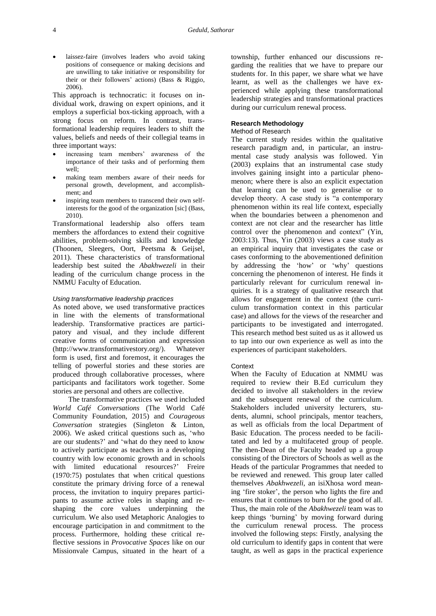laissez-faire (involves leaders who avoid taking positions of consequence or making decisions and are unwilling to take initiative or responsibility for their or their followers' actions) (Bass & Riggio, 2006).

This approach is technocratic: it focuses on individual work, drawing on expert opinions, and it employs a superficial box-ticking approach, with a strong focus on reform. In contrast, transformational leadership requires leaders to shift the values, beliefs and needs of their collegial teams in three important ways:

- increasing team members' awareness of the importance of their tasks and of performing them well;
- making team members aware of their needs for personal growth, development, and accomplishment; and
- inspiring team members to transcend their own selfinterests for the good of the organization [sic] (Bass, 2010).

Transformational leadership also offers team members the affordances to extend their cognitive abilities, problem-solving skills and knowledge (Thoonen, Sleegers, Oort, Peetsma & Geijsel, 2011). These characteristics of transformational leadership best suited the *Abakhwezeli* in their leading of the curriculum change process in the NMMU Faculty of Education.

#### *Using transformative leadership practices*

As noted above, we used transformative practices in line with the elements of transformational leadership. Transformative practices are participatory and visual, and they include different creative forms of communication and expression [\(http://www.transformativestory.org/\)](http://www.transformativestory.org/). Whatever form is used, first and foremost, it encourages the telling of powerful stories and these stories are produced through collaborative processes, where participants and facilitators work together. Some stories are personal and others are collective.

The transformative practices we used included *World Café Conversations* (The World Café Community Foundation, 2015) and *Courageous Conversation* strategies (Singleton & Linton, 2006). We asked critical questions such as, 'who are our students?' and 'what do they need to know to actively participate as teachers in a developing country with low economic growth and in schools with limited educational resources?' Freire (1970:75) postulates that when critical questions constitute the primary driving force of a renewal process, the invitation to inquiry prepares participants to assume active roles in shaping and reshaping the core values underpinning the curriculum. We also used Metaphoric Analogies to encourage participation in and commitment to the process. Furthermore, holding these critical reflective sessions in *Provocative Spaces* like on our Missionvale Campus, situated in the heart of a

township, further enhanced our discussions regarding the realities that we have to prepare our students for. In this paper, we share what we have learnt, as well as the challenges we have experienced while applying these transformational leadership strategies and transformational practices during our curriculum renewal process.

# **Research Methodology**

## Method of Research

The current study resides within the qualitative research paradigm and, in particular, an instrumental case study analysis was followed. Yin (2003) explains that an instrumental case study involves gaining insight into a particular phenomenon; where there is also an explicit expectation that learning can be used to generalise or to develop theory. A case study is "a contemporary phenomenon within its real life context, especially when the boundaries between a phenomenon and context are not clear and the researcher has little control over the phenomenon and context" (Yin, 2003:13). Thus, Yin (2003) views a case study as an empirical inquiry that investigates the case or cases conforming to the abovementioned definition by addressing the 'how' or 'why' questions concerning the phenomenon of interest. He finds it particularly relevant for curriculum renewal inquiries. It is a strategy of qualitative research that allows for engagement in the context (the curriculum transformation context in this particular case) and allows for the views of the researcher and participants to be investigated and interrogated. This research method best suited us as it allowed us to tap into our own experience as well as into the experiences of participant stakeholders.

#### Context

When the Faculty of Education at NMMU was required to review their B.Ed curriculum they decided to involve all stakeholders in the review and the subsequent renewal of the curriculum. Stakeholders included university lecturers, students, alumni, school principals, mentor teachers, as well as officials from the local Department of Basic Education. The process needed to be facilitated and led by a multifaceted group of people. The then-Dean of the Faculty headed up a group consisting of the Directors of Schools as well as the Heads of the particular Programmes that needed to be reviewed and renewed. This group later called themselves *Abakhwezeli*, an isiXhosa word meaning 'fire stoker', the person who lights the fire and ensures that it continues to burn for the good of all. Thus, the main role of the *Abakhwezeli* team was to keep things 'burning' by moving forward during the curriculum renewal process. The process involved the following steps: Firstly, analysing the old curriculum to identify gaps in content that were taught, as well as gaps in the practical experience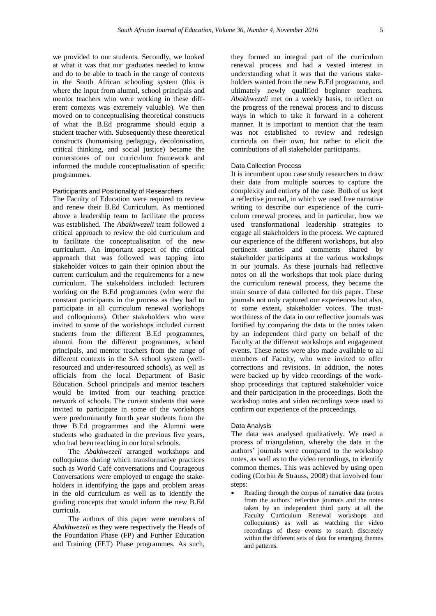we provided to our students. Secondly, we looked at what it was that our graduates needed to know and do to be able to teach in the range of contexts in the South African schooling system (this is where the input from alumni, school principals and mentor teachers who were working in these different contexts was extremely valuable). We then moved on to conceptualising theoretical constructs of what the B.Ed programme should equip a student teacher with. Subsequently these theoretical constructs (humanising pedagogy, decolonisation, critical thinking, and social justice) became the cornerstones of our curriculum framework and informed the module conceptualisation of specific programmes.

## Participants and Positionality of Researchers

The Faculty of Education were required to review and renew their B.Ed Curriculum. As mentioned above a leadership team to facilitate the process was established. The *Abakhwezeli* team followed a critical approach to review the old curriculum and to facilitate the conceptualisation of the new curriculum. An important aspect of the critical approach that was followed was tapping into stakeholder voices to gain their opinion about the current curriculum and the requirements for a new curriculum. The stakeholders included: lecturers working on the B.Ed programmes (who were the constant participants in the process as they had to participate in all curriculum renewal workshops and colloquiums). Other stakeholders who were invited to some of the workshops included current students from the different B.Ed programmes, alumni from the different programmes, school principals, and mentor teachers from the range of different contexts in the SA school system (wellresourced and under-resourced schools), as well as officials from the local Department of Basic Education. School principals and mentor teachers would be invited from our teaching practice network of schools. The current students that were invited to participate in some of the workshops were predominantly fourth year students from the three B.Ed programmes and the Alumni were students who graduated in the previous five years, who had been teaching in our local schools.

The *Abakhwezeli* arranged workshops and colloquiums during which transformative practices such as World Café conversations and Courageous Conversations were employed to engage the stakeholders in identifying the gaps and problem areas in the old curriculum as well as to identify the guiding concepts that would inform the new B.Ed curricula.

The authors of this paper were members of *Abakhwezeli* as they were respectively the Heads of the Foundation Phase (FP) and Further Education and Training (FET) Phase programmes. As such,

they formed an integral part of the curriculum renewal process and had a vested interest in understanding what it was that the various stakeholders wanted from the new B.Ed programme, and ultimately newly qualified beginner teachers. *Abakhwezeli* met on a weekly basis, to reflect on the progress of the renewal process and to discuss ways in which to take it forward in a coherent manner. It is important to mention that the team was not established to review and redesign curricula on their own, but rather to elicit the contributions of all stakeholder participants.

#### Data Collection Process

It is incumbent upon case study researchers to draw their data from multiple sources to capture the complexity and entirety of the case. Both of us kept a reflective journal, in which we used free narrative writing to describe our experience of the curriculum renewal process, and in particular, how we used transformational leadership strategies to engage all stakeholders in the process. We captured our experience of the different workshops, but also pertinent stories and comments shared by stakeholder participants at the various workshops in our journals. As these journals had reflective notes on all the workshops that took place during the curriculum renewal process, they became the main source of data collected for this paper. These journals not only captured our experiences but also, to some extent, stakeholder voices. The trustworthiness of the data in our reflective journals was fortified by comparing the data to the notes taken by an independent third party on behalf of the Faculty at the different workshops and engagement events. These notes were also made available to all members of Faculty, who were invited to offer corrections and revisions. In addition, the notes were backed up by video recordings of the workshop proceedings that captured stakeholder voice and their participation in the proceedings. Both the workshop notes and video recordings were used to confirm our experience of the proceedings.

#### Data Analysis

The data was analysed qualitatively. We used a process of triangulation, whereby the data in the authors' journals were compared to the workshop notes, as well as to the video recordings, to identify common themes. This was achieved by using open coding (Corbin & Strauss, 2008) that involved four steps:

 Reading through the corpus of narrative data (notes from the authors' reflective journals and the notes taken by an independent third party at all the Faculty Curriculum Renewal workshops and colloquiums) as well as watching the video recordings of these events to search discretely within the different sets of data for emerging themes and patterns.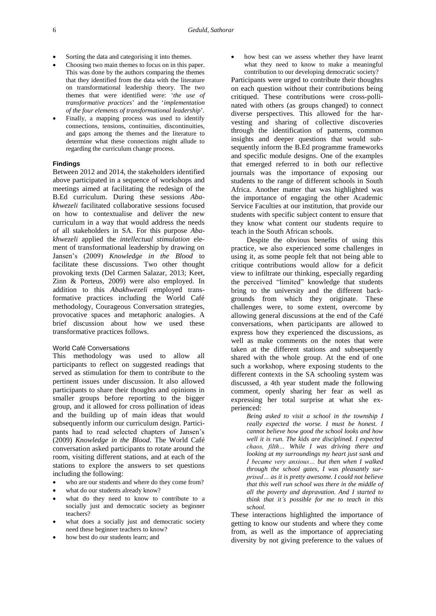- Sorting the data and categorising it into themes.
- Choosing two main themes to focus on in this paper. This was done by the authors comparing the themes that they identified from the data with the literature on transformational leadership theory. The two themes that were identified were: '*the use of transformative practices*' and the '*implementation of the four elements of transformational leadership*'.
- Finally, a mapping process was used to identify connections, tensions, continuities, discontinuities, and gaps among the themes and the literature to determine what these connections might allude to regarding the curriculum change process.

### **Findings**

Between 2012 and 2014, the stakeholders identified above participated in a sequence of workshops and meetings aimed at facilitating the redesign of the B.Ed curriculum. During these sessions *Abakhwezeli* facilitated collaborative sessions focused on how to contextualise and deliver the new curriculum in a way that would address the needs of all stakeholders in SA. For this purpose *Abakhwezeli* applied the *intellectual stimulation* element of transformational leadership by drawing on Jansen's (2009) *Knowledge in the Blood* to facilitate these discussions. Two other thought provoking texts (Del Carmen Salazar, 2013; Keet, Zinn & Porteus, 2009) were also employed. In addition to this *Abakhwezeli* employed transformative practices including the World Café methodology, Courageous Conversation strategies, provocative spaces and metaphoric analogies. A brief discussion about how we used these transformative practices follows.

## World Café Conversations

This methodology was used to allow all participants to reflect on suggested readings that served as stimulation for them to contribute to the pertinent issues under discussion. It also allowed participants to share their thoughts and opinions in smaller groups before reporting to the bigger group, and it allowed for cross pollination of ideas and the building up of main ideas that would subsequently inform our curriculum design. Participants had to read selected chapters of Jansen's (2009) *Knowledge in the Blood*. The World Café conversation asked participants to rotate around the room, visiting different stations, and at each of the stations to explore the answers to set questions including the following:

- who are our students and where do they come from?
- what do our students already know?
- what do they need to know to contribute to a socially just and democratic society as beginner teachers?
- what does a socially just and democratic society need these beginner teachers to know?
- how best do our students learn; and

 how best can we assess whether they have learnt what they need to know to make a meaningful contribution to our developing democratic society?

Participants were urged to contribute their thoughts on each question without their contributions being critiqued. These contributions were cross-pollinated with others (as groups changed) to connect diverse perspectives. This allowed for the harvesting and sharing of collective discoveries through the identification of patterns, common insights and deeper questions that would subsequently inform the B.Ed programme frameworks and specific module designs. One of the examples that emerged referred to in both our reflective journals was the importance of exposing our students to the range of different schools in South Africa. Another matter that was highlighted was the importance of engaging the other Academic Service Faculties at our institution, that provide our students with specific subject content to ensure that they know what content our students require to teach in the South African schools.

Despite the obvious benefits of using this practice, we also experienced some challenges in using it, as some people felt that not being able to critique contributions would allow for a deficit view to infiltrate our thinking, especially regarding the perceived "limited" knowledge that students bring to the university and the different backgrounds from which they originate. These challenges were, to some extent, overcome by allowing general discussions at the end of the Café conversations, when participants are allowed to express how they experienced the discussions, as well as make comments on the notes that were taken at the different stations and subsequently shared with the whole group. At the end of one such a workshop, where exposing students to the different contexts in the SA schooling system was discussed, a 4th year student made the following comment, openly sharing her fear as well as expressing her total surprise at what she experienced:

*Being asked to visit a school in the township I really expected the worse. I must be honest. I cannot believe how good the school looks and how well it is run. The kids are disciplined. I expected chaos, filth… While I was driving there and looking at my surroundings my heart just sank and I became very anxious… but then when I walked through the school gates, I was pleasantly surprised… as it is pretty awesome. I could not believe that this well run school was there in the middle of all the poverty and depravation. And I started to think that it's possible for me to teach in this school.*

These interactions highlighted the importance of getting to know our students and where they come from, as well as the importance of appreciating diversity by not giving preference to the values of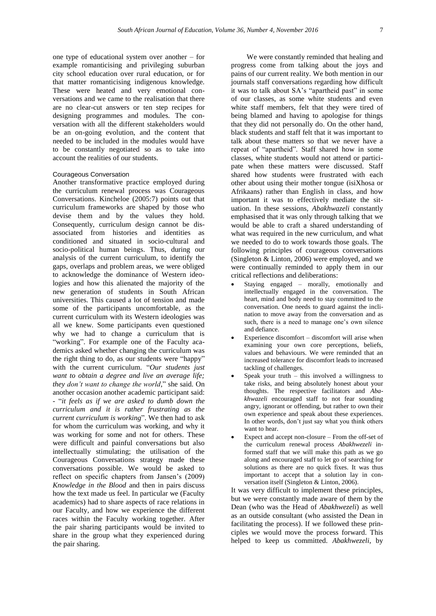one type of educational system over another – for example romanticising and privileging suburban city school education over rural education, or for that matter romanticising indigenous knowledge. These were heated and very emotional conversations and we came to the realisation that there are no clear-cut answers or ten step recipes for designing programmes and modules. The conversation with all the different stakeholders would be an on-going evolution, and the content that needed to be included in the modules would have to be constantly negotiated so as to take into account the realities of our students.

#### Courageous Conversation

Another transformative practice employed during the curriculum renewal process was Courageous Conversations. Kincheloe (2005:7) points out that curriculum frameworks are shaped by those who devise them and by the values they hold. Consequently, curriculum design cannot be disassociated from histories and identities as conditioned and situated in socio-cultural and socio-political human beings. Thus, during our analysis of the current curriculum, to identify the gaps, overlaps and problem areas, we were obliged to acknowledge the dominance of Western ideologies and how this alienated the majority of the new generation of students in South African universities. This caused a lot of tension and made some of the participants uncomfortable, as the current curriculum with its Western ideologies was all we knew. Some participants even questioned why we had to change a curriculum that is "working". For example one of the Faculty academics asked whether changing the curriculum was the right thing to do, as our students were "happy" with the current curriculum. "*Our students just want to obtain a degree and live an average life; they don't want to change the world*," she said. On another occasion another academic participant said: - "*it feels as if we are asked to dumb down the curriculum and it is rather frustrating as the current curriculum is working*". We then had to ask for whom the curriculum was working, and why it was working for some and not for others. These were difficult and painful conversations but also intellectually stimulating; the utilisation of the Courageous Conversations strategy made these conversations possible. We would be asked to reflect on specific chapters from Jansen's (2009) *Knowledge in the Blood* and then in pairs discuss how the text made us feel. In particular we (Faculty academics) had to share aspects of race relations in our Faculty, and how we experience the different races within the Faculty working together. After the pair sharing participants would be invited to share in the group what they experienced during the pair sharing.

We were constantly reminded that healing and progress come from talking about the joys and pains of our current reality. We both mention in our journals staff conversations regarding how difficult it was to talk about SA's "apartheid past" in some of our classes, as some white students and even white staff members, felt that they were tired of being blamed and having to apologise for things that they did not personally do. On the other hand, black students and staff felt that it was important to talk about these matters so that we never have a repeat of "apartheid". Staff shared how in some classes, white students would not attend or participate when these matters were discussed. Staff shared how students were frustrated with each other about using their mother tongue (isiXhosa or Afrikaans) rather than English in class, and how important it was to effectively mediate the situation. In these sessions, *Abakhwazeli* constantly emphasised that it was only through talking that we would be able to craft a shared understanding of what was required in the new curriculum, and what we needed to do to work towards those goals. The following principles of courageous conversations (Singleton & Linton, 2006) were employed, and we were continually reminded to apply them in our critical reflections and deliberations:

- Staying engaged morally, emotionally and intellectually engaged in the conversation. The heart, mind and body need to stay committed to the conversation. One needs to guard against the inclination to move away from the conversation and as such, there is a need to manage one's own silence and defiance.
- Experience discomfort discomfort will arise when examining your own core perceptions, beliefs, values and behaviours. We were reminded that an increased tolerance for discomfort leads to increased tackling of challenges.
- Speak your truth this involved a willingness to take risks, and being absolutely honest about your thoughts. The respective facilitators and *Abakhwazeli* encouraged staff to not fear sounding angry, ignorant or offending, but rather to own their own experience and speak about these experiences. In other words, don't just say what you think others want to hear.
- Expect and accept non-closure From the off-set of the curriculum renewal process *Abakhwezeli* informed staff that we will make this path as we go along and encouraged staff to let go of searching for solutions as there are no quick fixes. It was thus important to accept that a solution lay in conversation itself (Singleton & Linton, 2006).

It was very difficult to implement these principles, but we were constantly made aware of them by the Dean (who was the Head of *Abakhwezeli*) as well as an outside consultant (who assisted the Dean in facilitating the process). If we followed these principles we would move the process forward. This helped to keep us committed. *Abakhwezeli*, by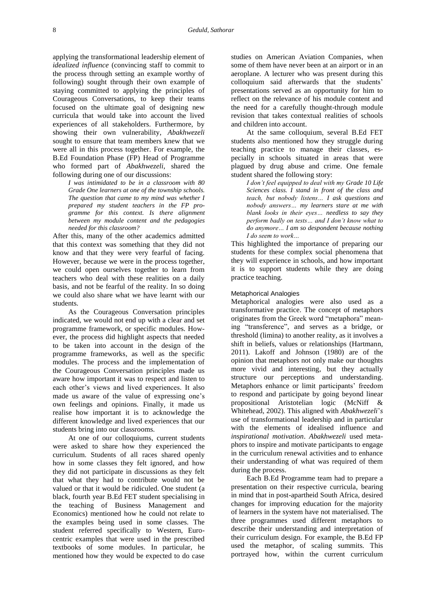applying the transformational leadership element of *idealized influence* (convincing staff to commit to the process through setting an example worthy of following) sought through their own example of staying committed to applying the principles of Courageous Conversations, to keep their teams focused on the ultimate goal of designing new curricula that would take into account the lived experiences of all stakeholders. Furthermore, by showing their own vulnerability, *Abakhwezeli*  sought to ensure that team members knew that we were all in this process together. For example, the B.Ed Foundation Phase (FP) Head of Programme who formed part of *Abakhwezeli*, shared the following during one of our discussions:

*I was intimidated to be in a classroom with 80 Grade One learners at one of the township schools. The question that came to my mind was whether I prepared my student teachers in the FP programme for this context. Is there alignment between my module content and the pedagogies needed for this classroom?*

After this, many of the other academics admitted that this context was something that they did not know and that they were very fearful of facing. However, because we were in the process together, we could open ourselves together to learn from teachers who deal with these realities on a daily basis, and not be fearful of the reality. In so doing we could also share what we have learnt with our students.

As the Courageous Conversation principles indicated, we would not end up with a clear and set programme framework, or specific modules. However, the process did highlight aspects that needed to be taken into account in the design of the programme frameworks, as well as the specific modules. The process and the implementation of the Courageous Conversation principles made us aware how important it was to respect and listen to each other's views and lived experiences. It also made us aware of the value of expressing one's own feelings and opinions. Finally, it made us realise how important it is to acknowledge the different knowledge and lived experiences that our students bring into our classrooms.

At one of our colloquiums, current students were asked to share how they experienced the curriculum. Students of all races shared openly how in some classes they felt ignored, and how they did not participate in discussions as they felt that what they had to contribute would not be valued or that it would be ridiculed. One student (a black, fourth year B.Ed FET student specialising in the teaching of Business Management and Economics) mentioned how he could not relate to the examples being used in some classes. The student referred specifically to Western, Eurocentric examples that were used in the prescribed textbooks of some modules. In particular, he mentioned how they would be expected to do case

studies on American Aviation Companies, when some of them have never been at an airport or in an aeroplane. A lecturer who was present during this colloquium said afterwards that the students' presentations served as an opportunity for him to reflect on the relevance of his module content and the need for a carefully thought-through module revision that takes contextual realities of schools and children into account.

At the same colloquium, several B.Ed FET students also mentioned how they struggle during teaching practice to manage their classes, especially in schools situated in areas that were plagued by drug abuse and crime. One female student shared the following story:

*I don't feel equipped to deal with my Grade 10 Life Sciences class. I stand in front of the class and teach, but nobody listens… I ask questions and nobody answers… my learners stare at me with blank looks in their eyes… needless to say they perform badly on tests… and I don't know what to do anymore… I am so despondent because nothing I do seem to work…*

This highlighted the importance of preparing our students for these complex social phenomena that they will experience in schools, and how important it is to support students while they are doing practice teaching.

## Metaphorical Analogies

Metaphorical analogies were also used as a transformative practice. The concept of metaphors originates from the Greek word "metaphora" meaning "transference", and serves as a bridge, or threshold (limina) to another reality, as it involves a shift in beliefs, values or relationships (Hartmann, 2011). Lakoff and Johnson (1980) are of the opinion that metaphors not only make our thoughts more vivid and interesting, but they actually structure our perceptions and understanding. Metaphors enhance or limit participants' freedom to respond and participate by going beyond linear propositional Aristotelian logic (McNiff & Whitehead, 2002). This aligned with *Abakhwezeli*'*s* use of transformational leadership and in particular with the elements of idealised influence and *inspirational motivation*. *Abakhwezeli* used metaphors to inspire and motivate participants to engage in the curriculum renewal activities and to enhance their understanding of what was required of them during the process.

Each B.Ed Programme team had to prepare a presentation on their respective curricula, bearing in mind that in post-apartheid South Africa, desired changes for improving education for the majority of learners in the system have not materialised. The three programmes used different metaphors to describe their understanding and interpretation of their curriculum design. For example, the B.Ed FP used the metaphor, of scaling summits. This portrayed how, within the current curriculum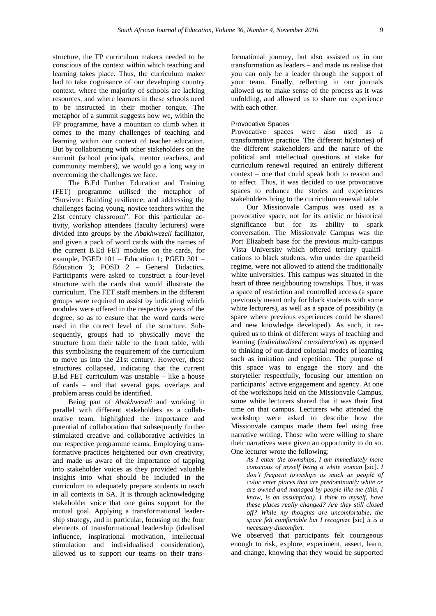structure, the FP curriculum makers needed to be conscious of the context within which teaching and learning takes place. Thus, the curriculum maker had to take cognisance of our developing country context, where the majority of schools are lacking resources, and where learners in these schools need to be instructed in their mother tongue. The metaphor of a summit suggests how we, within the FP programme, have a mountain to climb when it comes to the many challenges of teaching and learning within our context of teacher education. But by collaborating with other stakeholders on the summit (school principals, mentor teachers, and community members), we would go a long way in overcoming the challenges we face.

The B.Ed Further Education and Training (FET) programme utilised the metaphor of "Survivor: Building resilience; and addressing the challenges facing young, novice teachers within the 21st century classroom". For this particular activity, workshop attendees (faculty lecturers) were divided into groups by the *Abakhwezeli* facilitator, and given a pack of word cards with the names of the current B.Ed FET modules on the cards, for example, PGED 101 – Education 1; PGED 301 – Education 3; POSD 2 – General Didactics. Participants were asked to construct a four-level structure with the cards that would illustrate the curriculum. The FET staff members in the different groups were required to assist by indicating which modules were offered in the respective years of the degree, so as to ensure that the word cards were used in the correct level of the structure. Subsequently, groups had to physically move the structure from their table to the front table, with this symbolising the requirement of the curriculum to move us into the 21st century. However, these structures collapsed, indicating that the current B.Ed FET curriculum was unstable – like a house of cards – and that several gaps, overlaps and problem areas could be identified.

Being part of *Abakhwezeli* and working in parallel with different stakeholders as a collaborative team, highlighted the importance and potential of collaboration that subsequently further stimulated creative and collaborative activities in our respective programme teams. Employing transformative practices heightened our own creativity, and made us aware of the importance of tapping into stakeholder voices as they provided valuable insights into what should be included in the curriculum to adequately prepare students to teach in all contexts in SA. It is through acknowledging stakeholder voice that one gains support for the mutual goal. Applying a transformational leadership strategy, and in particular, focusing on the four elements of transformational leadership (idealised influence, inspirational motivation, intellectual stimulation and individualised consideration), allowed us to support our teams on their trans-

formational journey, but also assisted us in our transformation as leaders – and made us realise that you can only be a leader through the support of your team. Finally, reflecting in our journals allowed us to make sense of the process as it was unfolding, and allowed us to share our experience with each other.

## Provocative Spaces

Provocative spaces were also used as a transformative practice. The different hi(stories) of the different stakeholders and the nature of the political and intellectual questions at stake for curriculum renewal required an entirely different context – one that could speak both to reason and to affect. Thus, it was decided to use provocative spaces to enhance the stories and experiences stakeholders bring to the curriculum renewal table.

Our Missionvale Campus was used as a provocative space, not for its artistic or historical significance but for its ability to spark conversation. The Missionvale Campus was the Port Elizabeth base for the previous multi-campus Vista University which offered tertiary qualifications to black students, who under the apartheid regime, were not allowed to attend the traditionally white universities. This campus was situated in the heart of three neighbouring townships. Thus, it was a space of restriction and controlled access (a space previously meant only for black students with some white lecturers), as well as a space of possibility (a space where previous experiences could be shared and new knowledge developed). As such, it required us to think of different ways of teaching and learning (*individualised consideration*) as opposed to thinking of out-dated colonial modes of learning such as imitation and repetition. The purpose of this space was to engage the story and the storyteller respectfully, focusing our attention on participants' active engagement and agency. At one of the workshops held on the Missionvale Campus, some white lecturers shared that it was their first time on that campus. Lecturers who attended the workshop were asked to describe how the Missionvale campus made them feel using free narrative writing. Those who were willing to share their narratives were given an opportunity to do so. One lecturer wrote the following:

*As I enter the townships, I am immediately more conscious of myself being a white woman* [sic]. *I don't frequent townships as much as people of color enter places that are predominantly white or are owned and managed by people like me (this, I know, is an assumption). I think to myself, have these places really changed? Are they still closed off? While my thoughts are uncomfortable, the space felt comfortable but I recognize* [sic] *it is a necessary discomfort.*

We observed that participants felt courageous enough to risk, explore, experiment, assert, learn, and change, knowing that they would be supported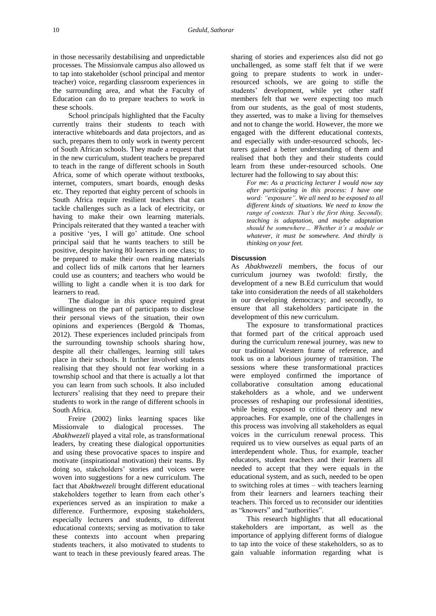in those necessarily destabilising and unpredictable processes. The Missionvale campus also allowed us to tap into stakeholder (school principal and mentor teacher) voice, regarding classroom experiences in the surrounding area, and what the Faculty of Education can do to prepare teachers to work in these schools.

School principals highlighted that the Faculty currently trains their students to teach with interactive whiteboards and data projectors, and as such, prepares them to only work in twenty percent of South African schools. They made a request that in the new curriculum, student teachers be prepared to teach in the range of different schools in South Africa, some of which operate without textbooks, internet, computers, smart boards, enough desks etc. They reported that eighty percent of schools in South Africa require resilient teachers that can tackle challenges such as a lack of electricity, or having to make their own learning materials. Principals reiterated that they wanted a teacher with a positive 'yes, I will go' attitude. One school principal said that he wants teachers to still be positive, despite having 80 learners in one class; to be prepared to make their own reading materials and collect lids of milk cartons that her learners could use as counters; and teachers who would be willing to light a candle when it is too dark for learners to read.

The dialogue in *this space* required great willingness on the part of participants to disclose their personal views of the situation, their own opinions and experiences (Bergold & Thomas, 2012). These experiences included principals from the surrounding township schools sharing how, despite all their challenges, learning still takes place in their schools. It further involved students realising that they should not fear working in a township school and that there is actually a lot that you can learn from such schools. It also included lecturers' realising that they need to prepare their students to work in the range of different schools in South Africa.

Freire (2002) links learning spaces like Missionvale to dialogical processes. The *Abakhwezeli* played a vital role, as transformational leaders, by creating these dialogical opportunities and using these provocative spaces to inspire and motivate (inspirational motivation) their teams. By doing so, stakeholders' stories and voices were woven into suggestions for a new curriculum. The fact that *Abakhwezeli* brought different educational stakeholders together to learn from each other's experiences served as an inspiration to make a difference. Furthermore, exposing stakeholders, especially lecturers and students, to different educational contexts; serving as motivation to take these contexts into account when preparing students teachers, it also motivated to students to want to teach in these previously feared areas. The

sharing of stories and experiences also did not go unchallenged, as some staff felt that if we were going to prepare students to work in underresourced schools, we are going to stifle the students' development, while yet other staff members felt that we were expecting too much from our students, as the goal of most students, they asserted, was to make a living for themselves and not to change the world. However, the more we engaged with the different educational contexts, and especially with under-resourced schools, lecturers gained a better understanding of them and realised that both they and their students could learn from these under-resourced schools. One lecturer had the following to say about this:

*For me: As a practicing lecturer I would now say after participating in this process: I have one word: "exposure". We all need to be exposed to all different kinds of situations. We need to know the range of contexts. That's the first thing. Secondly, teaching is adaptation, and maybe adaptation should be somewhere… Whether it's a module or whatever, it must be somewhere. And thirdly is thinking on your feet.*

#### **Discussion**

As *Abakhwezeli* members, the focus of our curriculum journey was twofold: firstly, the development of a new B.Ed curriculum that would take into consideration the needs of all stakeholders in our developing democracy; and secondly, to ensure that all stakeholders participate in the development of this new curriculum.

The exposure to transformational practices that formed part of the critical approach used during the curriculum renewal journey, was new to our traditional Western frame of reference, and took us on a laborious journey of transition. The sessions where these transformational practices were employed confirmed the importance of collaborative consultation among educational stakeholders as a whole, and we underwent processes of reshaping our professional identities, while being exposed to critical theory and new approaches. For example, one of the challenges in this process was involving all stakeholders as equal voices in the curriculum renewal process. This required us to view ourselves as equal parts of an interdependent whole. Thus, for example, teacher educators, student teachers and their learners all needed to accept that they were equals in the educational system, and as such, needed to be open to switching roles at times – with teachers learning from their learners and learners teaching their teachers. This forced us to reconsider our identities as "knowers" and "authorities".

This research highlights that all educational stakeholders are important, as well as the importance of applying different forms of dialogue to tap into the voice of these stakeholders, so as to gain valuable information regarding what is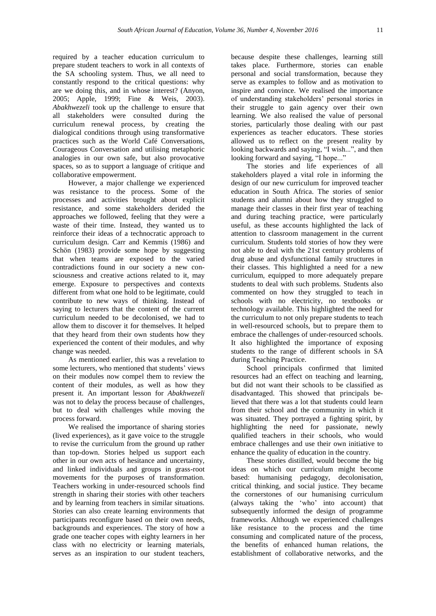required by a teacher education curriculum to prepare student teachers to work in all contexts of the SA schooling system. Thus, we all need to constantly respond to the critical questions: why are we doing this, and in whose interest? (Anyon, 2005; Apple, 1999; Fine & Weis, 2003). *Abakhwezeli* took up the challenge to ensure that all stakeholders were consulted during the curriculum renewal process, by creating the dialogical conditions through using transformative practices such as the World Café Conversations, Courageous Conversation and utilising metaphoric analogies in our own safe, but also provocative spaces, so as to support a language of critique and collaborative empowerment.

However, a major challenge we experienced was resistance to the process. Some of the processes and activities brought about explicit resistance, and some stakeholders derided the approaches we followed, feeling that they were a waste of their time. Instead, they wanted us to reinforce their ideas of a technocratic approach to curriculum design. Carr and Kemmis (1986) and Schön (1983) provide some hope by suggesting that when teams are exposed to the varied contradictions found in our society a new consciousness and creative actions related to it, may emerge. Exposure to perspectives and contexts different from what one hold to be legitimate, could contribute to new ways of thinking. Instead of saying to lecturers that the content of the current curriculum needed to be decolonised, we had to allow them to discover it for themselves. It helped that they heard from their own students how they experienced the content of their modules, and why change was needed.

As mentioned earlier, this was a revelation to some lecturers, who mentioned that students' views on their modules now compel them to review the content of their modules, as well as how they present it. An important lesson for *Abakhwezeli* was not to delay the process because of challenges, but to deal with challenges while moving the process forward.

We realised the importance of sharing stories (lived experiences), as it gave voice to the struggle to revise the curriculum from the ground up rather than top-down. Stories helped us support each other in our own acts of hesitance and uncertainty, and linked individuals and groups in grass-root movements for the purposes of transformation. Teachers working in under-resourced schools find strength in sharing their stories with other teachers and by learning from teachers in similar situations. Stories can also create learning environments that participants reconfigure based on their own needs, backgrounds and experiences. The story of how a grade one teacher copes with eighty learners in her class with no electricity or learning materials, serves as an inspiration to our student teachers,

because despite these challenges, learning still takes place. Furthermore, stories can enable personal and social transformation, because they serve as examples to follow and as motivation to inspire and convince. We realised the importance of understanding stakeholders' personal stories in their struggle to gain agency over their own learning. We also realised the value of personal stories, particularly those dealing with our past experiences as teacher educators. These stories allowed us to reflect on the present reality by looking backwards and saying, "I wish...", and then looking forward and saying, "I hope..."

The stories and life experiences of all stakeholders played a vital role in informing the design of our new curriculum for improved teacher education in South Africa. The stories of senior students and alumni about how they struggled to manage their classes in their first year of teaching and during teaching practice, were particularly useful, as these accounts highlighted the lack of attention to classroom management in the current curriculum. Students told stories of how they were not able to deal with the 21st century problems of drug abuse and dysfunctional family structures in their classes. This highlighted a need for a new curriculum, equipped to more adequately prepare students to deal with such problems. Students also commented on how they struggled to teach in schools with no electricity, no textbooks or technology available. This highlighted the need for the curriculum to not only prepare students to teach in well-resourced schools, but to prepare them to embrace the challenges of under-resourced schools. It also highlighted the importance of exposing students to the range of different schools in SA during Teaching Practice.

School principals confirmed that limited resources had an effect on teaching and learning, but did not want their schools to be classified as disadvantaged. This showed that principals believed that there was a lot that students could learn from their school and the community in which it was situated. They portrayed a fighting spirit, by highlighting the need for passionate, newly qualified teachers in their schools, who would embrace challenges and use their own initiative to enhance the quality of education in the country.

These stories distilled, would become the big ideas on which our curriculum might become based: humanising pedagogy, decolonisation, critical thinking, and social justice. They became the cornerstones of our humanising curriculum (always taking the 'who' into account) that subsequently informed the design of programme frameworks. Although we experienced challenges like resistance to the process and the time consuming and complicated nature of the process, the benefits of enhanced human relations, the establishment of collaborative networks, and the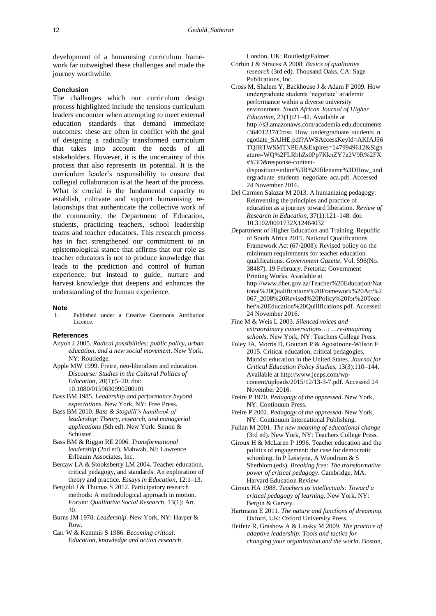development of a humanising curriculum framework far outweighed these challenges and made the journey worthwhile.

#### **Conclusion**

The challenges which our curriculum design process highlighted include the tensions curriculum leaders encounter when attempting to meet external education standards that demand immediate outcomes: these are often in conflict with the goal of designing a radically transformed curriculum that takes into account the needs of all stakeholders. However, it is the uncertainty of this process that also represents its potential. It is the curriculum leader's responsibility to ensure that collegial collaboration is at the heart of the process. What is crucial is the fundamental capacity to establish, cultivate and support humanising relationships that authenticate the collective work of the community, the Department of Education, students, practicing teachers, school leadership teams and teacher educators. This research process has in fact strengthened our commitment to an epistemological stance that affirms that our role as teacher educators is not to produce knowledge that leads to the prediction and control of human experience, but instead to guide, nurture and harvest knowledge that deepens and enhances the understanding of the human experience.

## **Note**

i. Published under a Creative Commons Attribution Licence.

#### **References**

- Anyon J 2005. *Radical possibilities: public policy, urban education, and a new social movement*. New York, NY: Routledge.
- Apple MW 1999. Freire, neo-liberalism and education. *Discourse: Studies in the Cultural Politics of Education*, 20(1):5–20. [doi:](https://doi.org/10.1080/0159630990200101)  [10.1080/0159630990200101](https://doi.org/10.1080/0159630990200101)
- Bass BM 1985. *Leadership and performance beyond expectations*. New York, NY: Free Press.
- Bass BM 2010. *Bass & Stogdill's handbook of leadership: Theory, research, and managerial applications* (5th ed). New York: Simon & Schuster.
- Bass BM & Riggio RE 2006. *Transformational leadership* (2nd ed). Mahwah, NJ: Lawrence Erlbaum Associates, Inc.
- Bercaw LA & Stooksberry LM 2004. Teacher education, critical pedagogy, and standards: An exploration of theory and practice. *Essays in Education*, 12:1–13.
- Bergold J & Thomas S 2012. Participatory research methods: A methodological approach in motion. *Forum: Qualitative Social Research*, 13(1): Art. 30.
- Burns JM 1978. *Leadership*. New York, NY: Harper & Row.

Carr W & Kemmis S 1986. *Becoming critical: Education, knowledge and action research*. London, UK: RoutledgeFalmer.

- Corbin J & Strauss A 2008. *Basics of qualitative research* (3rd ed). Thousand Oaks, CA: Sage Publications, Inc.
- Cross M, Shalem Y, Backhouse J & Adam F 2009. How undergraduate students 'negotiate' academic performance within a diverse university environment. *South African Journal of Higher Education*, 23(1):21–42. Available at [http://s3.amazonaws.com/academia.edu.documents](http://s3.amazonaws.com/academia.edu.documents/36401237/Cross_How_undergraduate_students_negotiate_SAJHE.pdf?AWSAccessKeyId=AKIAJ56TQJRTWSMTNPEA&Expires=1479949612&Signature=WQ%2FLRbhZs0Pp7KknZY7z2V9R%2FXs%3D&response-content-disposition=inline%3B%20filename%3DHow_undergraduate_students_negotiate_aca.pdf) [/36401237/Cross\\_How\\_undergraduate\\_students\\_n](http://s3.amazonaws.com/academia.edu.documents/36401237/Cross_How_undergraduate_students_negotiate_SAJHE.pdf?AWSAccessKeyId=AKIAJ56TQJRTWSMTNPEA&Expires=1479949612&Signature=WQ%2FLRbhZs0Pp7KknZY7z2V9R%2FXs%3D&response-content-disposition=inline%3B%20filename%3DHow_undergraduate_students_negotiate_aca.pdf) [egotiate\\_SAJHE.pdf?AWSAccessKeyId=AKIAJ56](http://s3.amazonaws.com/academia.edu.documents/36401237/Cross_How_undergraduate_students_negotiate_SAJHE.pdf?AWSAccessKeyId=AKIAJ56TQJRTWSMTNPEA&Expires=1479949612&Signature=WQ%2FLRbhZs0Pp7KknZY7z2V9R%2FXs%3D&response-content-disposition=inline%3B%20filename%3DHow_undergraduate_students_negotiate_aca.pdf) [TQJRTWSMTNPEA&Expires=1479949612&Sign](http://s3.amazonaws.com/academia.edu.documents/36401237/Cross_How_undergraduate_students_negotiate_SAJHE.pdf?AWSAccessKeyId=AKIAJ56TQJRTWSMTNPEA&Expires=1479949612&Signature=WQ%2FLRbhZs0Pp7KknZY7z2V9R%2FXs%3D&response-content-disposition=inline%3B%20filename%3DHow_undergraduate_students_negotiate_aca.pdf) [ature=WQ%2FLRbhZs0Pp7KknZY7z2V9R%2FX](http://s3.amazonaws.com/academia.edu.documents/36401237/Cross_How_undergraduate_students_negotiate_SAJHE.pdf?AWSAccessKeyId=AKIAJ56TQJRTWSMTNPEA&Expires=1479949612&Signature=WQ%2FLRbhZs0Pp7KknZY7z2V9R%2FXs%3D&response-content-disposition=inline%3B%20filename%3DHow_undergraduate_students_negotiate_aca.pdf) [s%3D&response-content](http://s3.amazonaws.com/academia.edu.documents/36401237/Cross_How_undergraduate_students_negotiate_SAJHE.pdf?AWSAccessKeyId=AKIAJ56TQJRTWSMTNPEA&Expires=1479949612&Signature=WQ%2FLRbhZs0Pp7KknZY7z2V9R%2FXs%3D&response-content-disposition=inline%3B%20filename%3DHow_undergraduate_students_negotiate_aca.pdf)[disposition=inline%3B%20filename%3DHow\\_und](http://s3.amazonaws.com/academia.edu.documents/36401237/Cross_How_undergraduate_students_negotiate_SAJHE.pdf?AWSAccessKeyId=AKIAJ56TQJRTWSMTNPEA&Expires=1479949612&Signature=WQ%2FLRbhZs0Pp7KknZY7z2V9R%2FXs%3D&response-content-disposition=inline%3B%20filename%3DHow_undergraduate_students_negotiate_aca.pdf) [ergraduate\\_students\\_negotiate\\_aca.pdf.](http://s3.amazonaws.com/academia.edu.documents/36401237/Cross_How_undergraduate_students_negotiate_SAJHE.pdf?AWSAccessKeyId=AKIAJ56TQJRTWSMTNPEA&Expires=1479949612&Signature=WQ%2FLRbhZs0Pp7KknZY7z2V9R%2FXs%3D&response-content-disposition=inline%3B%20filename%3DHow_undergraduate_students_negotiate_aca.pdf) Accessed 24 November 2016.
- Del Carmen Salazar M 2013. A humanizing pedagogy: Reinventing the principles and practice of education as a journey toward liberation. *Review of Research in Education*, 37(1):121–148[. doi:](https://doi.org/10.3102/0091732X12464032)  [10.3102/0091732X12464032](https://doi.org/10.3102/0091732X12464032)
- Department of Higher Education and Training, Republic of South Africa 2015. National Qualifications Framework Act (67/2008): Revised policy on the minimum requirements for teacher education qualifications. *Government Gazette*, Vol. 596(No. 38487). 19 February. Pretoria: Government Printing Works. Available at [http://www.dhet.gov.za/Teacher%20Education/Nat](http://www.dhet.gov.za/Teacher%20Education/National%20Qualifications%20Framework%20Act%2067_2008%20Revised%20Policy%20for%20Teacher%20Education%20Quilifications.pdf) [ional%20Qualifications%20Framework%20Act%2](http://www.dhet.gov.za/Teacher%20Education/National%20Qualifications%20Framework%20Act%2067_2008%20Revised%20Policy%20for%20Teacher%20Education%20Quilifications.pdf)
	- [067\\_2008%20Revised%20Policy%20for%20Teac](http://www.dhet.gov.za/Teacher%20Education/National%20Qualifications%20Framework%20Act%2067_2008%20Revised%20Policy%20for%20Teacher%20Education%20Quilifications.pdf) [her%20Education%20Quilifications.pdf.](http://www.dhet.gov.za/Teacher%20Education/National%20Qualifications%20Framework%20Act%2067_2008%20Revised%20Policy%20for%20Teacher%20Education%20Quilifications.pdf) Accessed 24 November 2016.
- Fine M & Weis L 2003. *Silenced voices and extraordinary conversations…: …re-imagining schools*. New York, NY: Teachers College Press.
- Foley JA, Morris D, Gounari P & Agostinone-Wilson F 2015. Critical education, critical pedagogies, Marxist education in the United States. *Journal for Critical Education Policy Studies*, 13(3):110–144. Available at [http://www.jceps.com/wp](http://www.jceps.com/wp-content/uploads/2015/12/13-3-7.pdf)[content/uploads/2015/12/13-3-7.pdf.](http://www.jceps.com/wp-content/uploads/2015/12/13-3-7.pdf) Accessed 24 November 2016.
- Freire P 1970. *Pedagogy of the oppressed*. New York, NY: Continuum Press.
- Freire P 2002. *Pedagogy of the oppressed*. New York, NY: Continuum International Publishing.
- Fullan M 2001. *The new meaning of educational change* (3rd ed). New York, NY: Teachers College Press.
- Giroux H & McLaren P 1996. Teacher education and the politics of engagement: the case for democratic schooling. In P Leistyna, A Woodrum & S Sherblom (eds). *Breaking free: The transformative power of critical pedagogy*. Cambridge, MA: Harvard Education Review.
- Giroux HA 1988. *Teachers as intellectuals: Toward a critical pedagogy of learning*. New York, NY: Bergin & Garvey.
- Hartmann E 2011. *The nature and functions of dreaming*. Oxford, UK: Oxford University Press.
- Heifetz R, Grashow A & Linsky M 2009. *The practice of adaptive leadership: Tools and tactics for changing your organization and the world*. Boston,